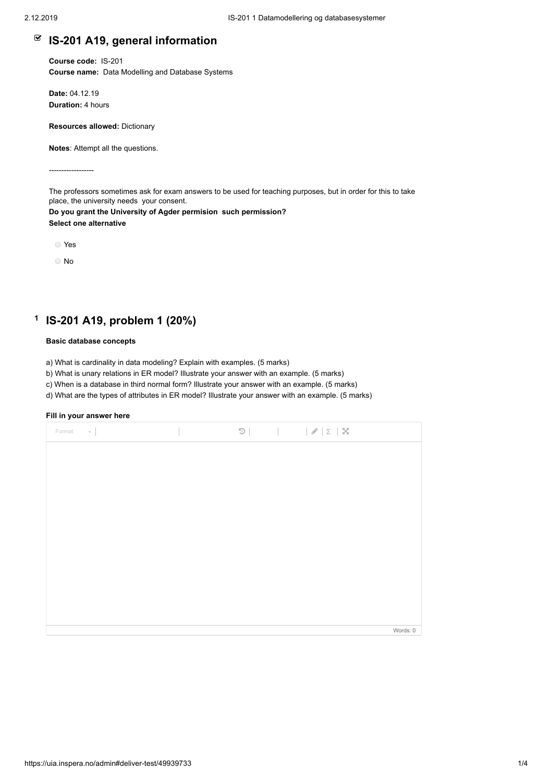## **IS-201 A19, general information**

**Course code:** IS-201 **Course name:** Data Modelling and Database Systems

**Date:** 04.12.19 **Duration:** 4 hours

**Resources allowed:** Dictionary

**Notes**: Attempt all the questions.

------------------

The professors sometimes ask for exam answers to be used for teaching purposes, but in order for this to take place, the university needs your consent.

**Do you grant the University of Agder permision such permission? Select one alternative**

Yes

No

#### **1 IS-201 A19, problem 1 (20%)**

### **Basic database concepts**

a) What is cardinality in data modeling? Explain with examples. (5 marks)

b) What is unary relations in ER model? Illustrate your answer with an example. (5 marks)

c) When is a database in third normal form? Illustrate your answer with an example. (5 marks)

d) What are the types of attributes in ER model? Illustrate your answer with an example. (5 marks)

| Format<br>$\tau$ . |  | $\mathfrak{D} \qquad \qquad \vert \qquad \vert \mathcal{J} \vert \Sigma \vert \ \mathbf{X}$ |          |
|--------------------|--|---------------------------------------------------------------------------------------------|----------|
|                    |  |                                                                                             |          |
|                    |  |                                                                                             |          |
|                    |  |                                                                                             |          |
|                    |  |                                                                                             |          |
|                    |  |                                                                                             |          |
|                    |  |                                                                                             |          |
|                    |  |                                                                                             |          |
|                    |  |                                                                                             |          |
|                    |  |                                                                                             |          |
|                    |  |                                                                                             | Words: 0 |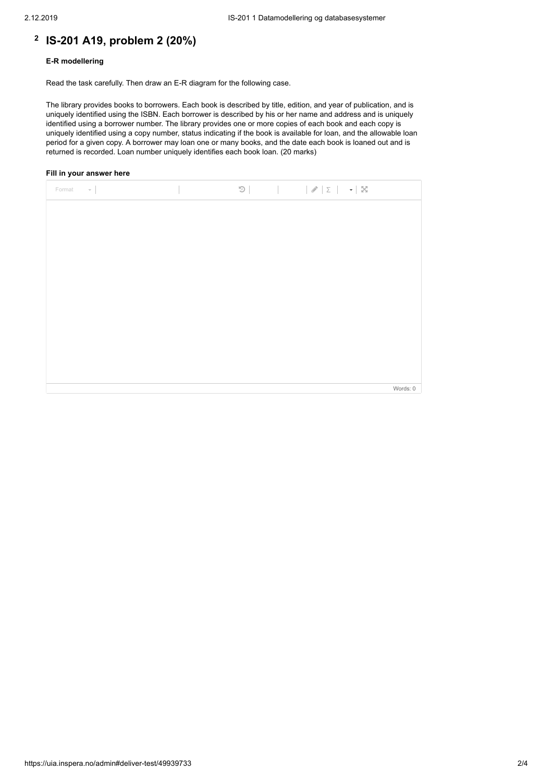## **2 IS-201 A19, problem 2 (20%)**

### **E-R modellering**

Read the task carefully. Then draw an E-R diagram for the following case.

The library provides books to borrowers. Each book is described by title, edition, and year of publication, and is uniquely identified using the ISBN. Each borrower is described by his or her name and address and is uniquely identified using a borrower number. The library provides one or more copies of each book and each copy is uniquely identified using a copy number, status indicating if the book is available for loan, and the allowable loan period for a given copy. A borrower may loan one or many books, and the date each book is loaned out and is returned is recorded. Loan number uniquely identifies each book loan. (20 marks)

| $\sim$  <br>Format |  |  |          |
|--------------------|--|--|----------|
|                    |  |  |          |
|                    |  |  |          |
|                    |  |  |          |
|                    |  |  |          |
|                    |  |  |          |
|                    |  |  |          |
|                    |  |  |          |
|                    |  |  |          |
|                    |  |  |          |
|                    |  |  | Words: 0 |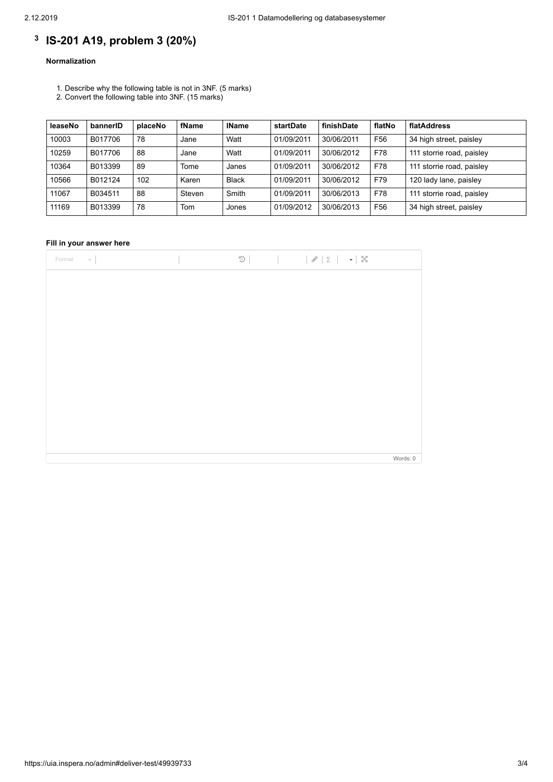# **3 IS-201 A19, problem 3 (20%)**

## **Normalization**

- 1. Describe why the following table is not in 3NF. (5 marks)
- 2. Convert the following table into 3NF. (15 marks)

| leaseNo | bannerID | placeNo | fName  | <b>IName</b> | startDate  | finishDate | flatNo          | flatAddress               |
|---------|----------|---------|--------|--------------|------------|------------|-----------------|---------------------------|
| 10003   | B017706  | 78      | Jane   | Watt         | 01/09/2011 | 30/06/2011 | F <sub>56</sub> | 34 high street, paisley   |
| 10259   | B017706  | 88      | Jane   | Watt         | 01/09/2011 | 30/06/2012 | F78             | 111 storrie road, paisley |
| 10364   | B013399  | 89      | Tome   | Janes        | 01/09/2011 | 30/06/2012 | F78             | 111 storrie road, paisley |
| 10566   | B012124  | 102     | Karen  | <b>Black</b> | 01/09/2011 | 30/06/2012 | F79             | 120 lady lane, paisley    |
| 11067   | B034511  | 88      | Steven | Smith        | 01/09/2011 | 30/06/2013 | F78             | 111 storrie road, paisley |
| 11169   | B013399  | 78      | Tom    | Jones        | 01/09/2012 | 30/06/2013 | F <sub>56</sub> | 34 high street, paisley   |

| Format<br>$\sim$ $-$ |  |  |          |
|----------------------|--|--|----------|
|                      |  |  |          |
|                      |  |  |          |
|                      |  |  |          |
|                      |  |  |          |
|                      |  |  |          |
|                      |  |  |          |
|                      |  |  |          |
|                      |  |  |          |
|                      |  |  |          |
|                      |  |  |          |
|                      |  |  | Words: 0 |